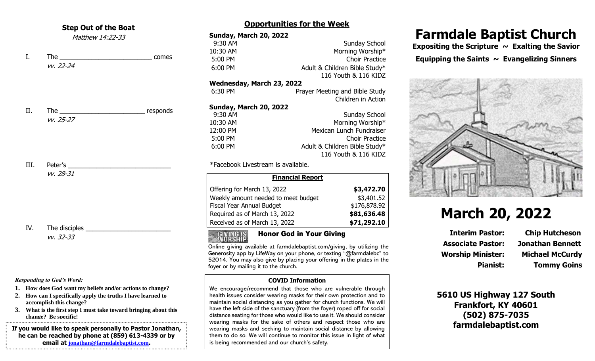### **Step Out of the Boat**

Matthew 14:22-33

I. The comes vv. 22-24

II. The mesponds vv. 25-27

III. Peter's the control of the control of the control of the control of the control of the control of the control of the control of the control of the control of the control of the control of the control of the control of vv. 28-31

IV. The disciples vv. 32-33

#### *Responding to God's Word:*

- **1. How does God want my beliefs and/or actions to change?**
- **2. How can I specifically apply the truths I have learned to accomplish this change?**
- **3. What is the first step I must take toward bringing about this change? Be specific!**

**If you would like to speak personally to Pastor Jonathan, he can be reached by phone at (859) 613-4339 or by email at [jonathan@farmdalebaptist.com](mailto:jonathan@farmdalebaptist.com).**

## **Opportunities for the Week**

| <b>Sunday, March 20, 2022</b>      |                                |
|------------------------------------|--------------------------------|
| 9:30 AM                            | <b>Sunday School</b>           |
| 10:30 AM                           | Morning Worship*               |
| 5:00 PM                            | <b>Choir Practice</b>          |
| 6:00 PM                            | Adult & Children Bible Study*  |
|                                    | 116 Youth & 116 KIDZ           |
| Wednesday, March 23, 2022          |                                |
| 6:30 PM                            | Prayer Meeting and Bible Study |
|                                    | Children in Action             |
| Sunday, March 20, 2022             |                                |
| 9:30 AM                            | <b>Sunday School</b>           |
| 10:30 AM                           | Morning Worship*               |
| 12:00 PM                           | Mexican Lunch Fundraiser       |
| 5:00 PM                            | <b>Choir Practice</b>          |
| 6:00 PM                            | Adult & Children Bible Study*  |
|                                    | 116 Youth & 116 KIDZ           |
| *Facebook Livestream is available. |                                |

\*Facebook Livestream is available.

| <b>Financial Report</b>             |              |  |
|-------------------------------------|--------------|--|
| Offering for March 13, 2022         | \$3,472.70   |  |
| Weekly amount needed to meet budget | \$3,401.52   |  |
| Fiscal Year Annual Budget           | \$176,878.92 |  |
| Required as of March 13, 2022       | \$81,636.48  |  |
| Received as of March 13, 2022       | \$71,292.10  |  |

### Honor God in Your GivingGIVING IS<br>Norship

Online giving available at farmdalebaptist.com/giving, by utilizing the Generosity app by LifeWay on your phone, or texting "@farmdalebc" to 52014. You may also give by placing your offering in the plates in the foyer or by mailing it to the church.

### **COVID Information**

We encourage/recommend that those who are vulnerable through health issues consider wearing masks for their own protection and to maintain social distancing as you gather for church functions. We will have the left side of the sanctuary (from the foyer) roped off for social distance seating for those who would like to use it. We should consider wearing masks for the sake of others and respect those who are wearing masks and seeking to maintain social distance by allowing them to do so. We will continue to monitor this issue in light of what is being recommended and our church's safety.

# **Farmdale Baptist Church**

Expositing the Scripture ~ Exalting the Savior Equipping the Saints  $\sim$  Evangelizing Sinners



# **March 20, 2022**

**Associate Pastor: Jonathan Bennett Worship Minister: Michael McCurdy**

**Interim Pastor: Chip Hutcheson Pianist: Tommy Goins**

## **5610 US Highway 127 South Frankfort, KY 40601 (502) 875-7035 farmdalebaptist.com**